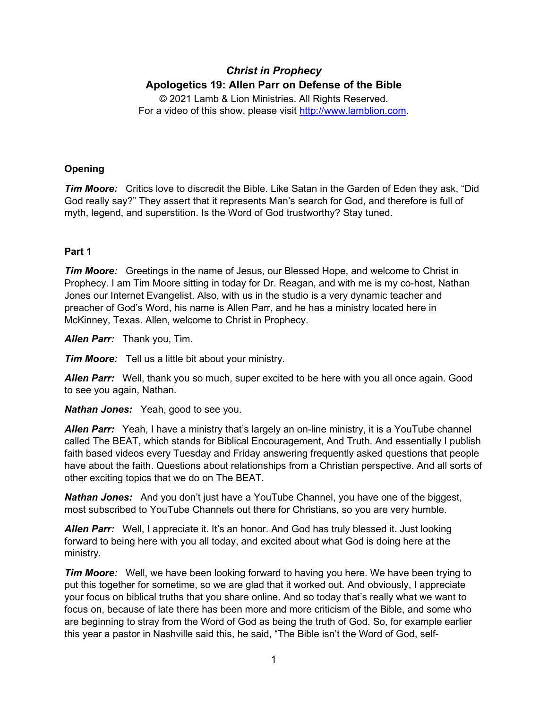# *Christ in Prophecy* **Apologetics 19: Allen Parr on Defense of the Bible**

© 2021 Lamb & Lion Ministries. All Rights Reserved. For a video of this show, please visit [http://www.lamblion.com.](http://www.lamblion.com/)

## **Opening**

*Tim Moore:* Critics love to discredit the Bible. Like Satan in the Garden of Eden they ask, "Did God really say?" They assert that it represents Man's search for God, and therefore is full of myth, legend, and superstition. Is the Word of God trustworthy? Stay tuned.

# **Part 1**

*Tim Moore:* Greetings in the name of Jesus, our Blessed Hope, and welcome to Christ in Prophecy. I am Tim Moore sitting in today for Dr. Reagan, and with me is my co-host, Nathan Jones our Internet Evangelist. Also, with us in the studio is a very dynamic teacher and preacher of God's Word, his name is Allen Parr, and he has a ministry located here in McKinney, Texas. Allen, welcome to Christ in Prophecy.

*Allen Parr:* Thank you, Tim.

*Tim Moore:* Tell us a little bit about your ministry.

*Allen Parr:* Well, thank you so much, super excited to be here with you all once again. Good to see you again, Nathan.

*Nathan Jones:* Yeah, good to see you.

*Allen Parr:* Yeah, I have a ministry that's largely an on-line ministry, it is a YouTube channel called The BEAT, which stands for Biblical Encouragement, And Truth. And essentially I publish faith based videos every Tuesday and Friday answering frequently asked questions that people have about the faith. Questions about relationships from a Christian perspective. And all sorts of other exciting topics that we do on The BEAT.

*Nathan Jones:* And you don't just have a YouTube Channel, you have one of the biggest, most subscribed to YouTube Channels out there for Christians, so you are very humble.

*Allen Parr:* Well, I appreciate it. It's an honor. And God has truly blessed it. Just looking forward to being here with you all today, and excited about what God is doing here at the ministry.

*Tim Moore:* Well, we have been looking forward to having you here. We have been trying to put this together for sometime, so we are glad that it worked out. And obviously, I appreciate your focus on biblical truths that you share online. And so today that's really what we want to focus on, because of late there has been more and more criticism of the Bible, and some who are beginning to stray from the Word of God as being the truth of God. So, for example earlier this year a pastor in Nashville said this, he said, "The Bible isn't the Word of God, self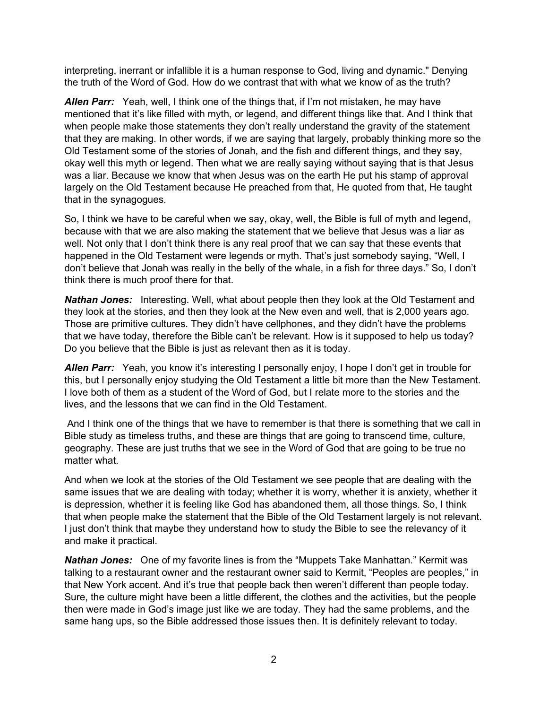interpreting, inerrant or infallible it is a human response to God, living and dynamic." Denying the truth of the Word of God. How do we contrast that with what we know of as the truth?

*Allen Parr:* Yeah, well, I think one of the things that, if I'm not mistaken, he may have mentioned that it's like filled with myth, or legend, and different things like that. And I think that when people make those statements they don't really understand the gravity of the statement that they are making. In other words, if we are saying that largely, probably thinking more so the Old Testament some of the stories of Jonah, and the fish and different things, and they say, okay well this myth or legend. Then what we are really saying without saying that is that Jesus was a liar. Because we know that when Jesus was on the earth He put his stamp of approval largely on the Old Testament because He preached from that, He quoted from that, He taught that in the synagogues.

So, I think we have to be careful when we say, okay, well, the Bible is full of myth and legend, because with that we are also making the statement that we believe that Jesus was a liar as well. Not only that I don't think there is any real proof that we can say that these events that happened in the Old Testament were legends or myth. That's just somebody saying, "Well, I don't believe that Jonah was really in the belly of the whale, in a fish for three days." So, I don't think there is much proof there for that.

*Nathan Jones:* Interesting. Well, what about people then they look at the Old Testament and they look at the stories, and then they look at the New even and well, that is 2,000 years ago. Those are primitive cultures. They didn't have cellphones, and they didn't have the problems that we have today, therefore the Bible can't be relevant. How is it supposed to help us today? Do you believe that the Bible is just as relevant then as it is today.

*Allen Parr:* Yeah, you know it's interesting I personally enjoy, I hope I don't get in trouble for this, but I personally enjoy studying the Old Testament a little bit more than the New Testament. I love both of them as a student of the Word of God, but I relate more to the stories and the lives, and the lessons that we can find in the Old Testament.

And I think one of the things that we have to remember is that there is something that we call in Bible study as timeless truths, and these are things that are going to transcend time, culture, geography. These are just truths that we see in the Word of God that are going to be true no matter what.

And when we look at the stories of the Old Testament we see people that are dealing with the same issues that we are dealing with today; whether it is worry, whether it is anxiety, whether it is depression, whether it is feeling like God has abandoned them, all those things. So, I think that when people make the statement that the Bible of the Old Testament largely is not relevant. I just don't think that maybe they understand how to study the Bible to see the relevancy of it and make it practical.

*Nathan Jones:* One of my favorite lines is from the "Muppets Take Manhattan." Kermit was talking to a restaurant owner and the restaurant owner said to Kermit, "Peoples are peoples," in that New York accent. And it's true that people back then weren't different than people today. Sure, the culture might have been a little different, the clothes and the activities, but the people then were made in God's image just like we are today. They had the same problems, and the same hang ups, so the Bible addressed those issues then. It is definitely relevant to today.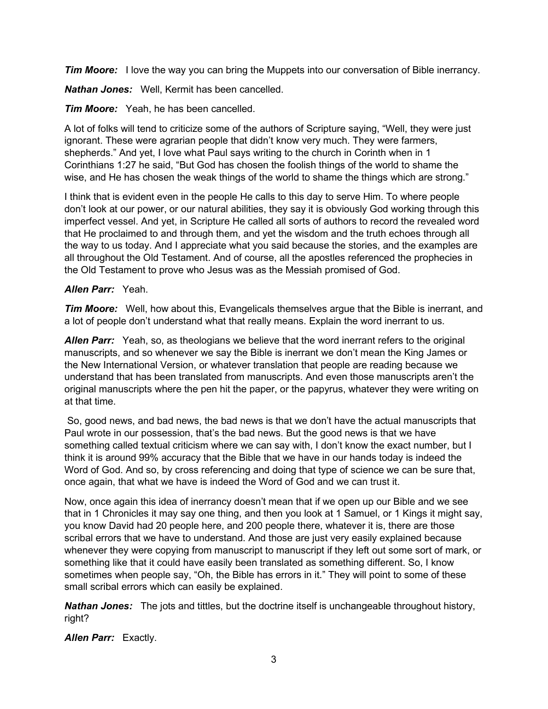*Tim Moore:* I love the way you can bring the Muppets into our conversation of Bible inerrancy.

*Nathan Jones:* Well, Kermit has been cancelled.

*Tim Moore:* Yeah, he has been cancelled.

A lot of folks will tend to criticize some of the authors of Scripture saying, "Well, they were just ignorant. These were agrarian people that didn't know very much. They were farmers, shepherds." And yet, I love what Paul says writing to the church in Corinth when in 1 Corinthians 1:27 he said, "But God has chosen the foolish things of the world to shame the wise, and He has chosen the weak things of the world to shame the things which are strong."

I think that is evident even in the people He calls to this day to serve Him. To where people don't look at our power, or our natural abilities, they say it is obviously God working through this imperfect vessel. And yet, in Scripture He called all sorts of authors to record the revealed word that He proclaimed to and through them, and yet the wisdom and the truth echoes through all the way to us today. And I appreciate what you said because the stories, and the examples are all throughout the Old Testament. And of course, all the apostles referenced the prophecies in the Old Testament to prove who Jesus was as the Messiah promised of God.

#### *Allen Parr:* Yeah.

*Tim Moore:* Well, how about this, Evangelicals themselves argue that the Bible is inerrant, and a lot of people don't understand what that really means. Explain the word inerrant to us.

*Allen Parr:* Yeah, so, as theologians we believe that the word inerrant refers to the original manuscripts, and so whenever we say the Bible is inerrant we don't mean the King James or the New International Version, or whatever translation that people are reading because we understand that has been translated from manuscripts. And even those manuscripts aren't the original manuscripts where the pen hit the paper, or the papyrus, whatever they were writing on at that time.

So, good news, and bad news, the bad news is that we don't have the actual manuscripts that Paul wrote in our possession, that's the bad news. But the good news is that we have something called textual criticism where we can say with, I don't know the exact number, but I think it is around 99% accuracy that the Bible that we have in our hands today is indeed the Word of God. And so, by cross referencing and doing that type of science we can be sure that, once again, that what we have is indeed the Word of God and we can trust it.

Now, once again this idea of inerrancy doesn't mean that if we open up our Bible and we see that in 1 Chronicles it may say one thing, and then you look at 1 Samuel, or 1 Kings it might say, you know David had 20 people here, and 200 people there, whatever it is, there are those scribal errors that we have to understand. And those are just very easily explained because whenever they were copying from manuscript to manuscript if they left out some sort of mark, or something like that it could have easily been translated as something different. So, I know sometimes when people say, "Oh, the Bible has errors in it." They will point to some of these small scribal errors which can easily be explained.

*Nathan Jones:* The jots and tittles, but the doctrine itself is unchangeable throughout history, right?

*Allen Parr:* Exactly.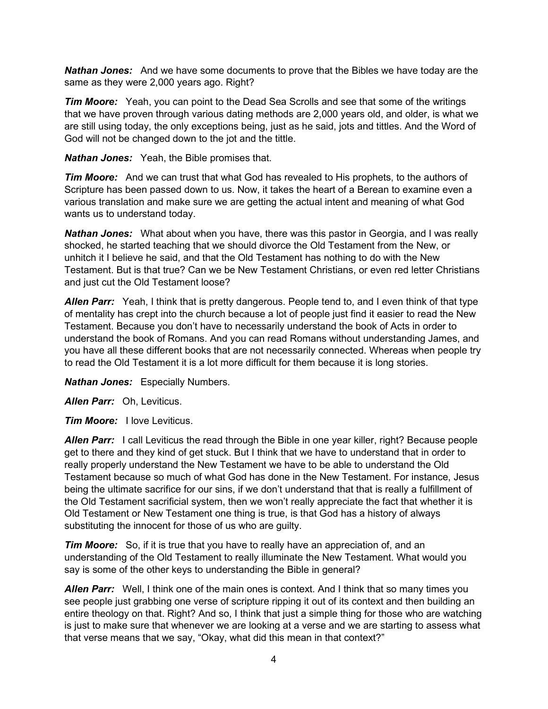*Nathan Jones:* And we have some documents to prove that the Bibles we have today are the same as they were 2,000 years ago. Right?

*Tim Moore:* Yeah, you can point to the Dead Sea Scrolls and see that some of the writings that we have proven through various dating methods are 2,000 years old, and older, is what we are still using today, the only exceptions being, just as he said, jots and tittles. And the Word of God will not be changed down to the jot and the tittle.

*Nathan Jones:* Yeah, the Bible promises that.

*Tim Moore:* And we can trust that what God has revealed to His prophets, to the authors of Scripture has been passed down to us. Now, it takes the heart of a Berean to examine even a various translation and make sure we are getting the actual intent and meaning of what God wants us to understand today.

*Nathan Jones:* What about when you have, there was this pastor in Georgia, and I was really shocked, he started teaching that we should divorce the Old Testament from the New, or unhitch it I believe he said, and that the Old Testament has nothing to do with the New Testament. But is that true? Can we be New Testament Christians, or even red letter Christians and just cut the Old Testament loose?

*Allen Parr:* Yeah, I think that is pretty dangerous. People tend to, and I even think of that type of mentality has crept into the church because a lot of people just find it easier to read the New Testament. Because you don't have to necessarily understand the book of Acts in order to understand the book of Romans. And you can read Romans without understanding James, and you have all these different books that are not necessarily connected. Whereas when people try to read the Old Testament it is a lot more difficult for them because it is long stories.

*Nathan Jones:* Especially Numbers.

*Allen Parr:* Oh, Leviticus.

*Tim Moore:* I love Leviticus.

*Allen Parr:* I call Leviticus the read through the Bible in one year killer, right? Because people get to there and they kind of get stuck. But I think that we have to understand that in order to really properly understand the New Testament we have to be able to understand the Old Testament because so much of what God has done in the New Testament. For instance, Jesus being the ultimate sacrifice for our sins, if we don't understand that that is really a fulfillment of the Old Testament sacrificial system, then we won't really appreciate the fact that whether it is Old Testament or New Testament one thing is true, is that God has a history of always substituting the innocent for those of us who are guilty.

*Tim Moore:* So, if it is true that you have to really have an appreciation of, and an understanding of the Old Testament to really illuminate the New Testament. What would you say is some of the other keys to understanding the Bible in general?

*Allen Parr:* Well, I think one of the main ones is context. And I think that so many times you see people just grabbing one verse of scripture ripping it out of its context and then building an entire theology on that. Right? And so, I think that just a simple thing for those who are watching is just to make sure that whenever we are looking at a verse and we are starting to assess what that verse means that we say, "Okay, what did this mean in that context?"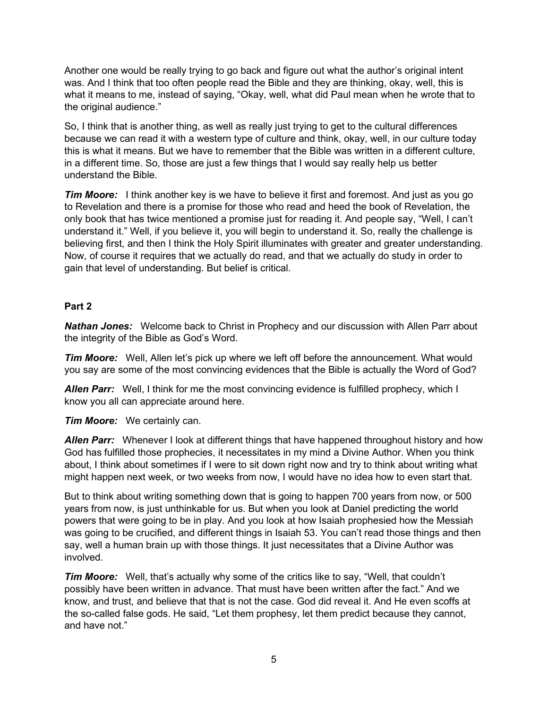Another one would be really trying to go back and figure out what the author's original intent was. And I think that too often people read the Bible and they are thinking, okay, well, this is what it means to me, instead of saying, "Okay, well, what did Paul mean when he wrote that to the original audience."

So, I think that is another thing, as well as really just trying to get to the cultural differences because we can read it with a western type of culture and think, okay, well, in our culture today this is what it means. But we have to remember that the Bible was written in a different culture, in a different time. So, those are just a few things that I would say really help us better understand the Bible.

*Tim Moore:* I think another key is we have to believe it first and foremost. And just as you go to Revelation and there is a promise for those who read and heed the book of Revelation, the only book that has twice mentioned a promise just for reading it. And people say, "Well, I can't understand it." Well, if you believe it, you will begin to understand it. So, really the challenge is believing first, and then I think the Holy Spirit illuminates with greater and greater understanding. Now, of course it requires that we actually do read, and that we actually do study in order to gain that level of understanding. But belief is critical.

#### **Part 2**

*Nathan Jones:* Welcome back to Christ in Prophecy and our discussion with Allen Parr about the integrity of the Bible as God's Word.

*Tim Moore:* Well, Allen let's pick up where we left off before the announcement. What would you say are some of the most convincing evidences that the Bible is actually the Word of God?

**Allen Parr:** Well, I think for me the most convincing evidence is fulfilled prophecy, which I know you all can appreciate around here.

*Tim Moore:* We certainly can.

*Allen Parr:* Whenever I look at different things that have happened throughout history and how God has fulfilled those prophecies, it necessitates in my mind a Divine Author. When you think about, I think about sometimes if I were to sit down right now and try to think about writing what might happen next week, or two weeks from now, I would have no idea how to even start that.

But to think about writing something down that is going to happen 700 years from now, or 500 years from now, is just unthinkable for us. But when you look at Daniel predicting the world powers that were going to be in play. And you look at how Isaiah prophesied how the Messiah was going to be crucified, and different things in Isaiah 53. You can't read those things and then say, well a human brain up with those things. It just necessitates that a Divine Author was involved.

*Tim Moore:* Well, that's actually why some of the critics like to say, "Well, that couldn't possibly have been written in advance. That must have been written after the fact." And we know, and trust, and believe that that is not the case. God did reveal it. And He even scoffs at the so-called false gods. He said, "Let them prophesy, let them predict because they cannot, and have not."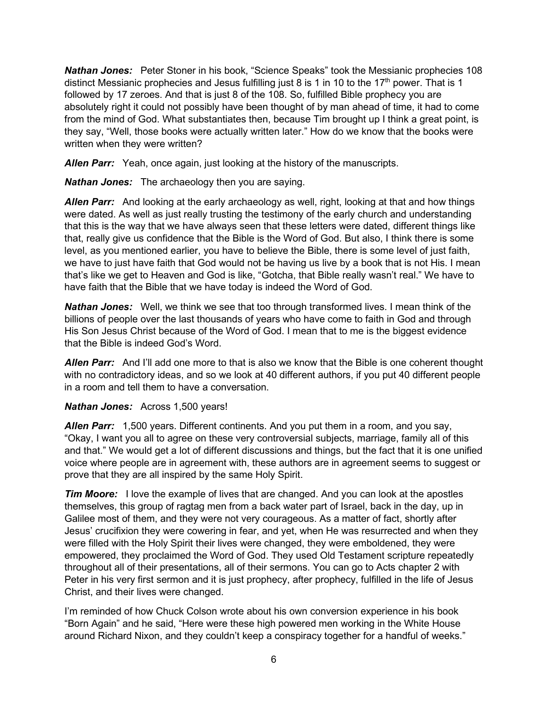*Nathan Jones:* Peter Stoner in his book, "Science Speaks" took the Messianic prophecies 108 distinct Messianic prophecies and Jesus fulfilling just 8 is 1 in 10 to the 17<sup>th</sup> power. That is 1 followed by 17 zeroes. And that is just 8 of the 108. So, fulfilled Bible prophecy you are absolutely right it could not possibly have been thought of by man ahead of time, it had to come from the mind of God. What substantiates then, because Tim brought up I think a great point, is they say, "Well, those books were actually written later." How do we know that the books were written when they were written?

*Allen Parr:* Yeah, once again, just looking at the history of the manuscripts.

*Nathan Jones:* The archaeology then you are saying.

*Allen Parr:* And looking at the early archaeology as well, right, looking at that and how things were dated. As well as just really trusting the testimony of the early church and understanding that this is the way that we have always seen that these letters were dated, different things like that, really give us confidence that the Bible is the Word of God. But also, I think there is some level, as you mentioned earlier, you have to believe the Bible, there is some level of just faith, we have to just have faith that God would not be having us live by a book that is not His. I mean that's like we get to Heaven and God is like, "Gotcha, that Bible really wasn't real." We have to have faith that the Bible that we have today is indeed the Word of God.

*Nathan Jones:* Well, we think we see that too through transformed lives. I mean think of the billions of people over the last thousands of years who have come to faith in God and through His Son Jesus Christ because of the Word of God. I mean that to me is the biggest evidence that the Bible is indeed God's Word.

*Allen Parr:* And I'll add one more to that is also we know that the Bible is one coherent thought with no contradictory ideas, and so we look at 40 different authors, if you put 40 different people in a room and tell them to have a conversation.

#### *Nathan Jones:* Across 1,500 years!

*Allen Parr:* 1,500 years. Different continents. And you put them in a room, and you say, "Okay, I want you all to agree on these very controversial subjects, marriage, family all of this and that." We would get a lot of different discussions and things, but the fact that it is one unified voice where people are in agreement with, these authors are in agreement seems to suggest or prove that they are all inspired by the same Holy Spirit.

*Tim Moore:* I love the example of lives that are changed. And you can look at the apostles themselves, this group of ragtag men from a back water part of Israel, back in the day, up in Galilee most of them, and they were not very courageous. As a matter of fact, shortly after Jesus' crucifixion they were cowering in fear, and yet, when He was resurrected and when they were filled with the Holy Spirit their lives were changed, they were emboldened, they were empowered, they proclaimed the Word of God. They used Old Testament scripture repeatedly throughout all of their presentations, all of their sermons. You can go to Acts chapter 2 with Peter in his very first sermon and it is just prophecy, after prophecy, fulfilled in the life of Jesus Christ, and their lives were changed.

I'm reminded of how Chuck Colson wrote about his own conversion experience in his book "Born Again" and he said, "Here were these high powered men working in the White House around Richard Nixon, and they couldn't keep a conspiracy together for a handful of weeks."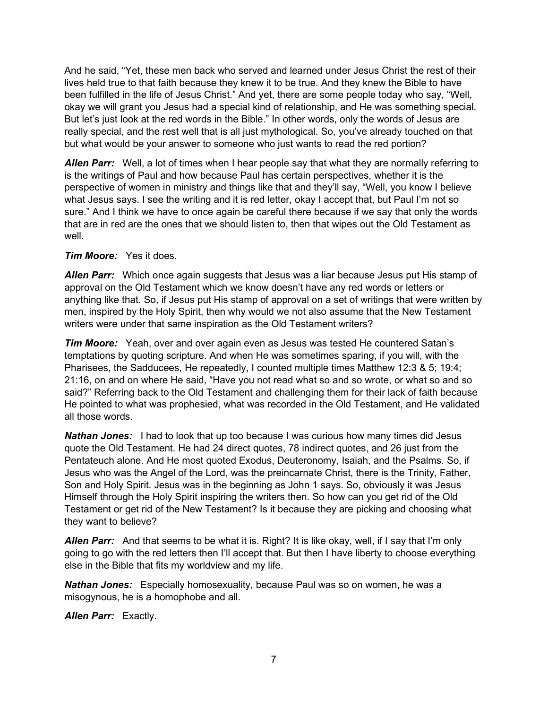And he said, "Yet, these men back who served and learned under Jesus Christ the rest of their lives held true to that faith because they knew it to be true. And they knew the Bible to have been fulfilled in the life of Jesus Christ." And yet, there are some people today who say, "Well, okay we will grant you Jesus had a special kind of relationship, and He was something special. But let's just look at the red words in the Bible." In other words, only the words of Jesus are really special, and the rest well that is all just mythological. So, you've already touched on that but what would be your answer to someone who just wants to read the red portion?

*Allen Parr:* Well, a lot of times when I hear people say that what they are normally referring to is the writings of Paul and how because Paul has certain perspectives, whether it is the perspective of women in ministry and things like that and they'll say, "Well, you know I believe what Jesus says. I see the writing and it is red letter, okay I accept that, but Paul I'm not so sure." And I think we have to once again be careful there because if we say that only the words that are in red are the ones that we should listen to, then that wipes out the Old Testament as well.

#### *Tim Moore:* Yes it does.

*Allen Parr:* Which once again suggests that Jesus was a liar because Jesus put His stamp of approval on the Old Testament which we know doesn't have any red words or letters or anything like that. So, if Jesus put His stamp of approval on a set of writings that were written by men, inspired by the Holy Spirit, then why would we not also assume that the New Testament writers were under that same inspiration as the Old Testament writers?

*Tim Moore:* Yeah, over and over again even as Jesus was tested He countered Satan's temptations by quoting scripture. And when He was sometimes sparing, if you will, with the Pharisees, the Sadducees, He repeatedly, I counted multiple times Matthew 12:3 & 5; 19:4; 21:16, on and on where He said, "Have you not read what so and so wrote, or what so and so said?" Referring back to the Old Testament and challenging them for their lack of faith because He pointed to what was prophesied, what was recorded in the Old Testament, and He validated all those words.

*Nathan Jones:* I had to look that up too because I was curious how many times did Jesus quote the Old Testament. He had 24 direct quotes, 78 indirect quotes, and 26 just from the Pentateuch alone. And He most quoted Exodus, Deuteronomy, Isaiah, and the Psalms. So, if Jesus who was the Angel of the Lord, was the preincarnate Christ, there is the Trinity, Father, Son and Holy Spirit. Jesus was in the beginning as John 1 says. So, obviously it was Jesus Himself through the Holy Spirit inspiring the writers then. So how can you get rid of the Old Testament or get rid of the New Testament? Is it because they are picking and choosing what they want to believe?

*Allen Parr:* And that seems to be what it is. Right? It is like okay, well, if I say that I'm only going to go with the red letters then I'll accept that. But then I have liberty to choose everything else in the Bible that fits my worldview and my life.

*Nathan Jones:* Especially homosexuality, because Paul was so on women, he was a misogynous, he is a homophobe and all.

*Allen Parr:* Exactly.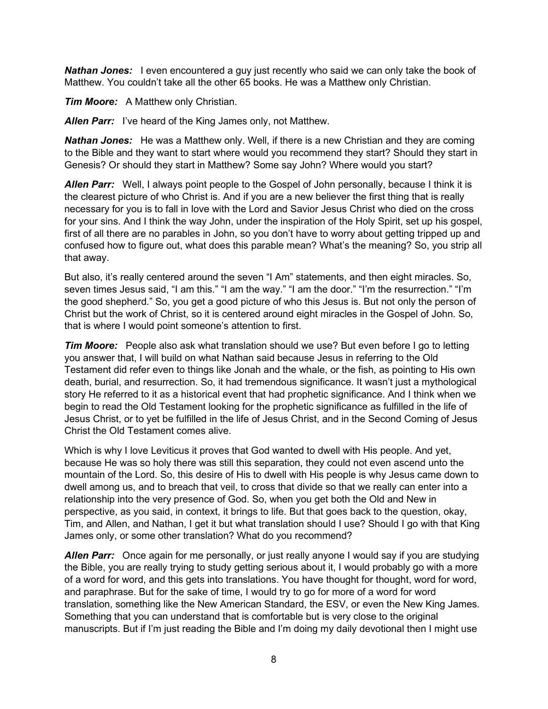**Nathan Jones:** I even encountered a guy just recently who said we can only take the book of Matthew. You couldn't take all the other 65 books. He was a Matthew only Christian.

*Tim Moore:* A Matthew only Christian.

*Allen Parr:* I've heard of the King James only, not Matthew.

*Nathan Jones:* He was a Matthew only. Well, if there is a new Christian and they are coming to the Bible and they want to start where would you recommend they start? Should they start in Genesis? Or should they start in Matthew? Some say John? Where would you start?

*Allen Parr:* Well, I always point people to the Gospel of John personally, because I think it is the clearest picture of who Christ is. And if you are a new believer the first thing that is really necessary for you is to fall in love with the Lord and Savior Jesus Christ who died on the cross for your sins. And I think the way John, under the inspiration of the Holy Spirit, set up his gospel, first of all there are no parables in John, so you don't have to worry about getting tripped up and confused how to figure out, what does this parable mean? What's the meaning? So, you strip all that away.

But also, it's really centered around the seven "I Am" statements, and then eight miracles. So, seven times Jesus said, "I am this." "I am the way." "I am the door." "I'm the resurrection." "I'm the good shepherd." So, you get a good picture of who this Jesus is. But not only the person of Christ but the work of Christ, so it is centered around eight miracles in the Gospel of John. So, that is where I would point someone's attention to first.

*Tim Moore:* People also ask what translation should we use? But even before I go to letting you answer that, I will build on what Nathan said because Jesus in referring to the Old Testament did refer even to things like Jonah and the whale, or the fish, as pointing to His own death, burial, and resurrection. So, it had tremendous significance. It wasn't just a mythological story He referred to it as a historical event that had prophetic significance. And I think when we begin to read the Old Testament looking for the prophetic significance as fulfilled in the life of Jesus Christ, or to yet be fulfilled in the life of Jesus Christ, and in the Second Coming of Jesus Christ the Old Testament comes alive.

Which is why I love Leviticus it proves that God wanted to dwell with His people. And yet, because He was so holy there was still this separation, they could not even ascend unto the mountain of the Lord. So, this desire of His to dwell with His people is why Jesus came down to dwell among us, and to breach that veil, to cross that divide so that we really can enter into a relationship into the very presence of God. So, when you get both the Old and New in perspective, as you said, in context, it brings to life. But that goes back to the question, okay, Tim, and Allen, and Nathan, I get it but what translation should I use? Should I go with that King James only, or some other translation? What do you recommend?

*Allen Parr:* Once again for me personally, or just really anyone I would say if you are studying the Bible, you are really trying to study getting serious about it, I would probably go with a more of a word for word, and this gets into translations. You have thought for thought, word for word, and paraphrase. But for the sake of time, I would try to go for more of a word for word translation, something like the New American Standard, the ESV, or even the New King James. Something that you can understand that is comfortable but is very close to the original manuscripts. But if I'm just reading the Bible and I'm doing my daily devotional then I might use